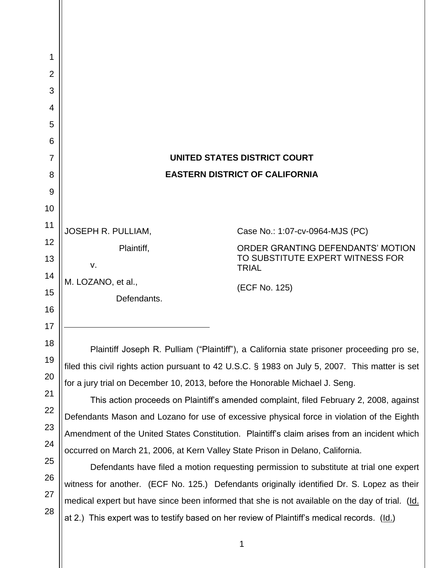| 1<br>$\overline{2}$ |                                                                                                                                                                                                                                                                                                                                                                                                                                                        |                                                                                                 |  |
|---------------------|--------------------------------------------------------------------------------------------------------------------------------------------------------------------------------------------------------------------------------------------------------------------------------------------------------------------------------------------------------------------------------------------------------------------------------------------------------|-------------------------------------------------------------------------------------------------|--|
| 3<br>4              |                                                                                                                                                                                                                                                                                                                                                                                                                                                        |                                                                                                 |  |
| 5<br>6              |                                                                                                                                                                                                                                                                                                                                                                                                                                                        |                                                                                                 |  |
| 7                   |                                                                                                                                                                                                                                                                                                                                                                                                                                                        | UNITED STATES DISTRICT COURT                                                                    |  |
| 8                   |                                                                                                                                                                                                                                                                                                                                                                                                                                                        | <b>EASTERN DISTRICT OF CALIFORNIA</b>                                                           |  |
| 9                   |                                                                                                                                                                                                                                                                                                                                                                                                                                                        |                                                                                                 |  |
| 10                  |                                                                                                                                                                                                                                                                                                                                                                                                                                                        |                                                                                                 |  |
| 11                  | <b>JOSEPH R. PULLIAM,</b>                                                                                                                                                                                                                                                                                                                                                                                                                              | Case No.: 1:07-cv-0964-MJS (PC)                                                                 |  |
| 12                  | Plaintiff,                                                                                                                                                                                                                                                                                                                                                                                                                                             | ORDER GRANTING DEFENDANTS' MOTION                                                               |  |
| 13                  | V.                                                                                                                                                                                                                                                                                                                                                                                                                                                     | TO SUBSTITUTE EXPERT WITNESS FOR<br><b>TRIAL</b>                                                |  |
| 14                  | M. LOZANO, et al.,                                                                                                                                                                                                                                                                                                                                                                                                                                     | (ECF No. 125)                                                                                   |  |
| 15                  | Defendants.                                                                                                                                                                                                                                                                                                                                                                                                                                            |                                                                                                 |  |
| 16                  |                                                                                                                                                                                                                                                                                                                                                                                                                                                        |                                                                                                 |  |
| 17                  |                                                                                                                                                                                                                                                                                                                                                                                                                                                        |                                                                                                 |  |
| 18                  | Plaintiff Joseph R. Pulliam ("Plaintiff"), a California state prisoner proceeding pro se,                                                                                                                                                                                                                                                                                                                                                              |                                                                                                 |  |
| 19                  |                                                                                                                                                                                                                                                                                                                                                                                                                                                        | filed this civil rights action pursuant to 42 U.S.C. § 1983 on July 5, 2007. This matter is set |  |
| 20                  | for a jury trial on December 10, 2013, before the Honorable Michael J. Seng.<br>This action proceeds on Plaintiff's amended complaint, filed February 2, 2008, against<br>Defendants Mason and Lozano for use of excessive physical force in violation of the Eighth<br>Amendment of the United States Constitution. Plaintiff's claim arises from an incident which<br>occurred on March 21, 2006, at Kern Valley State Prison in Delano, California. |                                                                                                 |  |
| 21                  |                                                                                                                                                                                                                                                                                                                                                                                                                                                        |                                                                                                 |  |
| 22                  |                                                                                                                                                                                                                                                                                                                                                                                                                                                        |                                                                                                 |  |
| 23                  |                                                                                                                                                                                                                                                                                                                                                                                                                                                        |                                                                                                 |  |
| 24                  |                                                                                                                                                                                                                                                                                                                                                                                                                                                        |                                                                                                 |  |
| 25                  | Defendants have filed a motion requesting permission to substitute at trial one expert                                                                                                                                                                                                                                                                                                                                                                 |                                                                                                 |  |
| 26                  |                                                                                                                                                                                                                                                                                                                                                                                                                                                        | witness for another. (ECF No. 125.) Defendants originally identified Dr. S. Lopez as their      |  |
| 27                  |                                                                                                                                                                                                                                                                                                                                                                                                                                                        | medical expert but have since been informed that she is not available on the day of trial. (Id. |  |
| 28                  |                                                                                                                                                                                                                                                                                                                                                                                                                                                        | at 2.) This expert was to testify based on her review of Plaintiff's medical records. (Id.)     |  |

1